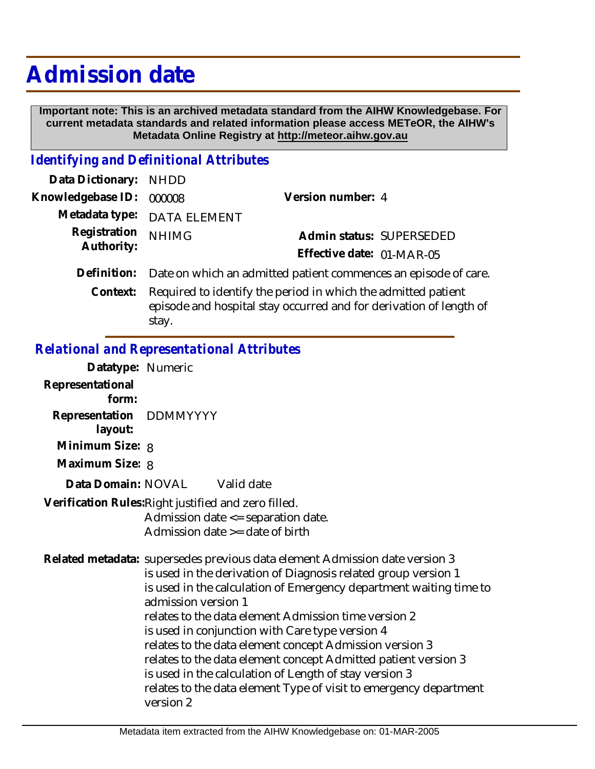## **Admission date**

 **Important note: This is an archived metadata standard from the AIHW Knowledgebase. For current metadata standards and related information please access METeOR, the AIHW's Metadata Online Registry at http://meteor.aihw.gov.au**

## *Identifying and Definitional Attributes*

| Data Dictionary: NHDD    |                                                                             |                           |                          |
|--------------------------|-----------------------------------------------------------------------------|---------------------------|--------------------------|
| Knowledgebase ID: 000008 |                                                                             | Version number: 4         |                          |
|                          | Metadata type: DATA ELEMENT                                                 |                           |                          |
| Registration             | <b>NHIMG</b>                                                                |                           | Admin status: SUPERSEDED |
| Authority:               |                                                                             | Effective date: 01-MAR-05 |                          |
|                          | Definition: Date on which an admitted patient commences an episode of care. |                           |                          |
| Context:                 | Required to identify the period in which the admitted patient               |                           |                          |

episode and hospital stay occurred and for derivation of length of stay.

## *Relational and Representational Attributes*

| Datatype: Numeric                  |                                                                                                                                                                                                                                                                                                                                                                                                                                                                                                                                                                                                                                |
|------------------------------------|--------------------------------------------------------------------------------------------------------------------------------------------------------------------------------------------------------------------------------------------------------------------------------------------------------------------------------------------------------------------------------------------------------------------------------------------------------------------------------------------------------------------------------------------------------------------------------------------------------------------------------|
| Representational<br>form:          |                                                                                                                                                                                                                                                                                                                                                                                                                                                                                                                                                                                                                                |
| Representation DDMMYYYY<br>layout: |                                                                                                                                                                                                                                                                                                                                                                                                                                                                                                                                                                                                                                |
| Minimum Size: 8                    |                                                                                                                                                                                                                                                                                                                                                                                                                                                                                                                                                                                                                                |
| Maximum Size: 8                    |                                                                                                                                                                                                                                                                                                                                                                                                                                                                                                                                                                                                                                |
|                                    | Data Domain: NOVAL Valid date                                                                                                                                                                                                                                                                                                                                                                                                                                                                                                                                                                                                  |
|                                    | Verification Rules: Right justified and zero filled.<br>Admission date <= separation date.<br>Admission date $\geq$ date of birth                                                                                                                                                                                                                                                                                                                                                                                                                                                                                              |
|                                    | Related metadata: supersedes previous data element Admission date version 3<br>is used in the derivation of Diagnosis related group version 1<br>is used in the calculation of Emergency department waiting time to<br>admission version 1<br>relates to the data element Admission time version 2<br>is used in conjunction with Care type version 4<br>relates to the data element concept Admission version 3<br>relates to the data element concept Admitted patient version 3<br>is used in the calculation of Length of stay version 3<br>relates to the data element Type of visit to emergency department<br>version 2 |